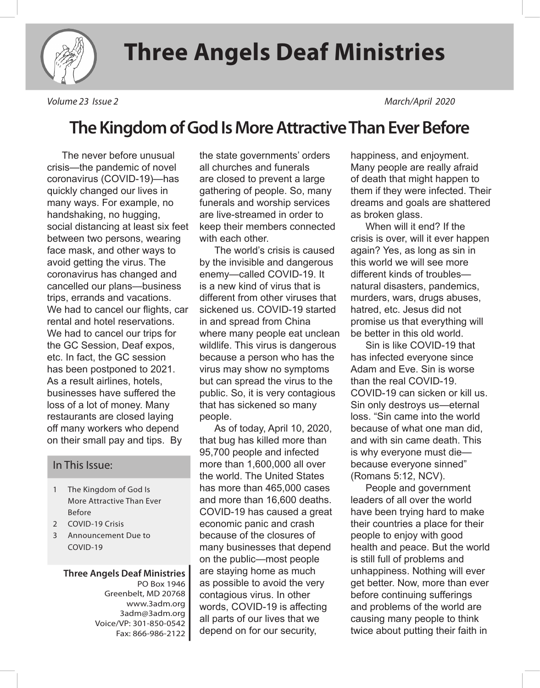

*Volume 23 Issue 2 March/April 2020*

## **The Kingdom of God Is More Attractive Than Ever Before**

The never before unusual crisis—the pandemic of novel coronavirus (COVID-19)—has quickly changed our lives in many ways. For example, no handshaking, no hugging, social distancing at least six feet between two persons, wearing face mask, and other ways to avoid getting the virus. The coronavirus has changed and cancelled our plans—business trips, errands and vacations. We had to cancel our flights, car rental and hotel reservations. We had to cancel our trips for the GC Session, Deaf expos, etc. In fact, the GC session has been postponed to 2021. As a result airlines, hotels, businesses have suffered the loss of a lot of money. Many restaurants are closed laying off many workers who depend on their small pay and tips. By

#### In This Issue:

- 1 The Kingdom of God Is More Attractive Than Ever Before
- 2 COVID-19 Crisis
- 3 Announcement Due to COVID-19

**Three Angels Deaf Ministries** PO Box 1946 Greenbelt, MD 20768 www.3adm.org 3adm@3adm.org Voice/VP: 301-850-0542 Fax: 866-986-2122 the state governments' orders all churches and funerals are closed to prevent a large gathering of people. So, many funerals and worship services are live-streamed in order to keep their members connected with each other.

The world's crisis is caused by the invisible and dangerous enemy—called COVID-19. It is a new kind of virus that is different from other viruses that sickened us. COVID-19 started in and spread from China where many people eat unclean wildlife. This virus is dangerous because a person who has the virus may show no symptoms but can spread the virus to the public. So, it is very contagious that has sickened so many people.

As of today, April 10, 2020, that bug has killed more than 95,700 people and infected more than 1,600,000 all over the world. The United States has more than 465,000 cases and more than 16,600 deaths. COVID-19 has caused a great economic panic and crash because of the closures of many businesses that depend on the public—most people are staying home as much as possible to avoid the very contagious virus. In other words, COVID-19 is affecting all parts of our lives that we depend on for our security,

happiness, and enjoyment. Many people are really afraid of death that might happen to them if they were infected. Their dreams and goals are shattered as broken glass.

When will it end? If the crisis is over, will it ever happen again? Yes, as long as sin in this world we will see more different kinds of troubles natural disasters, pandemics, murders, wars, drugs abuses, hatred, etc. Jesus did not promise us that everything will be better in this old world.

Sin is like COVID-19 that has infected everyone since Adam and Eve. Sin is worse than the real COVID-19. COVID-19 can sicken or kill us. Sin only destroys us—eternal loss. "Sin came into the world because of what one man did, and with sin came death. This is why everyone must die because everyone sinned" (Romans 5:12, NCV).

People and government leaders of all over the world have been trying hard to make their countries a place for their people to enjoy with good health and peace. But the world is still full of problems and unhappiness. Nothing will ever get better. Now, more than ever before continuing sufferings and problems of the world are causing many people to think twice about putting their faith in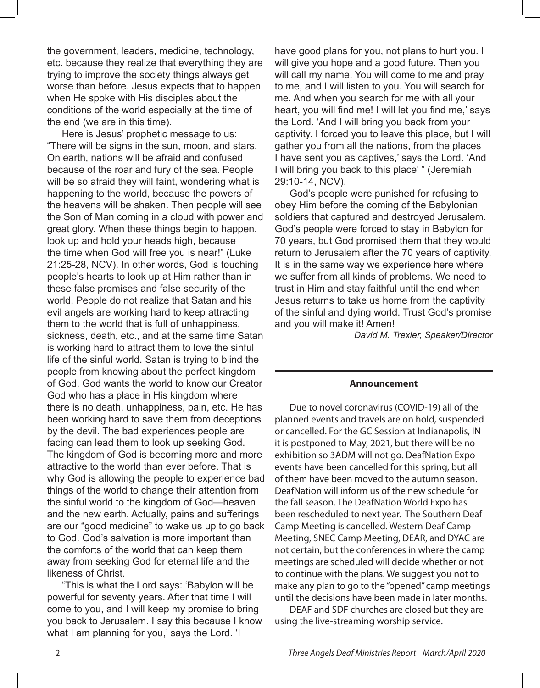the government, leaders, medicine, technology, etc. because they realize that everything they are trying to improve the society things always get worse than before. Jesus expects that to happen when He spoke with His disciples about the conditions of the world especially at the time of the end (we are in this time).

Here is Jesus' prophetic message to us: "There will be signs in the sun, moon, and stars. On earth, nations will be afraid and confused because of the roar and fury of the sea. People will be so afraid they will faint, wondering what is happening to the world, because the powers of the heavens will be shaken. Then people will see the Son of Man coming in a cloud with power and great glory. When these things begin to happen, look up and hold your heads high, because the time when God will free you is near!" (Luke 21:25-28, NCV). In other words, God is touching people's hearts to look up at Him rather than in these false promises and false security of the world. People do not realize that Satan and his evil angels are working hard to keep attracting them to the world that is full of unhappiness, sickness, death, etc., and at the same time Satan is working hard to attract them to love the sinful life of the sinful world. Satan is trying to blind the people from knowing about the perfect kingdom of God. God wants the world to know our Creator God who has a place in His kingdom where there is no death, unhappiness, pain, etc. He has been working hard to save them from deceptions by the devil. The bad experiences people are facing can lead them to look up seeking God. The kingdom of God is becoming more and more attractive to the world than ever before. That is why God is allowing the people to experience bad things of the world to change their attention from the sinful world to the kingdom of God—heaven and the new earth. Actually, pains and sufferings are our "good medicine" to wake us up to go back to God. God's salvation is more important than the comforts of the world that can keep them away from seeking God for eternal life and the likeness of Christ.

"This is what the Lord says: 'Babylon will be powerful for seventy years. After that time I will come to you, and I will keep my promise to bring you back to Jerusalem. I say this because I know what I am planning for you,' says the Lord. 'I

have good plans for you, not plans to hurt you. I will give you hope and a good future. Then you will call my name. You will come to me and pray to me, and I will listen to you. You will search for me. And when you search for me with all your heart, you will find me! I will let you find me,' says the Lord. 'And I will bring you back from your captivity. I forced you to leave this place, but I will gather you from all the nations, from the places I have sent you as captives,' says the Lord. 'And I will bring you back to this place' " (Jeremiah 29:10-14, NCV).

God's people were punished for refusing to obey Him before the coming of the Babylonian soldiers that captured and destroyed Jerusalem. God's people were forced to stay in Babylon for 70 years, but God promised them that they would return to Jerusalem after the 70 years of captivity. It is in the same way we experience here where we suffer from all kinds of problems. We need to trust in Him and stay faithful until the end when Jesus returns to take us home from the captivity of the sinful and dying world. Trust God's promise and you will make it! Amen!

*David M. Trexler, Speaker/Director*

#### **Announcement**

Due to novel coronavirus (COVID-19) all of the planned events and travels are on hold, suspended or cancelled. For the GC Session at Indianapolis, IN it is postponed to May, 2021, but there will be no exhibition so 3ADM will not go. DeafNation Expo events have been cancelled for this spring, but all of them have been moved to the autumn season. DeafNation will inform us of the new schedule for the fall season. The DeafNation World Expo has been rescheduled to next year. The Southern Deaf Camp Meeting is cancelled. Western Deaf Camp Meeting, SNEC Camp Meeting, DEAR, and DYAC are not certain, but the conferences in where the camp meetings are scheduled will decide whether or not to continue with the plans. We suggest you not to make any plan to go to the "opened" camp meetings until the decisions have been made in later months.

DEAF and SDF churches are closed but they are using the live-streaming worship service.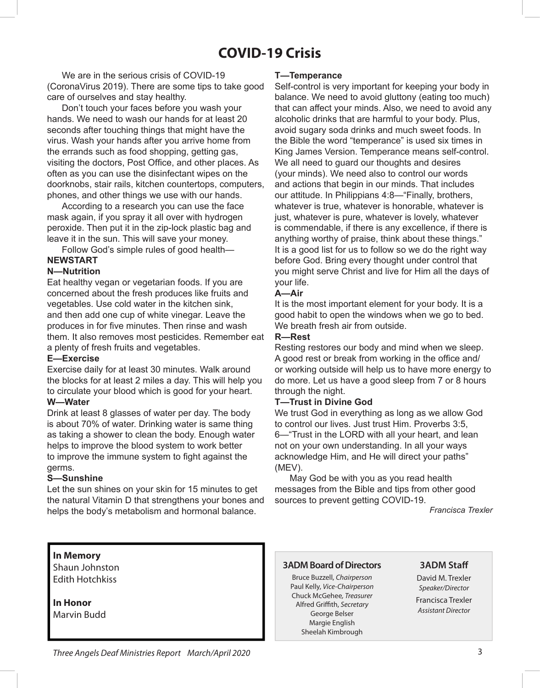### **COVID-19 Crisis**

We are in the serious crisis of COVID-19 (CoronaVirus 2019). There are some tips to take good care of ourselves and stay healthy.

Don't touch your faces before you wash your hands. We need to wash our hands for at least 20 seconds after touching things that might have the virus. Wash your hands after you arrive home from the errands such as food shopping, getting gas, visiting the doctors, Post Office, and other places. As often as you can use the disinfectant wipes on the doorknobs, stair rails, kitchen countertops, computers, phones, and other things we use with our hands.

According to a research you can use the face mask again, if you spray it all over with hydrogen peroxide. Then put it in the zip-lock plastic bag and leave it in the sun. This will save your money.

Follow God's simple rules of good health— **NEWSTART**

#### **N—Nutrition**

Eat healthy vegan or vegetarian foods. If you are concerned about the fresh produces like fruits and vegetables. Use cold water in the kitchen sink, and then add one cup of white vinegar. Leave the produces in for five minutes. Then rinse and wash them. It also removes most pesticides. Remember eat a plenty of fresh fruits and vegetables.

#### **E—Exercise**

Exercise daily for at least 30 minutes. Walk around the blocks for at least 2 miles a day. This will help you to circulate your blood which is good for your heart.

#### **W—Water**

Drink at least 8 glasses of water per day. The body is about 70% of water. Drinking water is same thing as taking a shower to clean the body. Enough water helps to improve the blood system to work better to improve the immune system to fight against the germs.

#### **S—Sunshine**

Let the sun shines on your skin for 15 minutes to get the natural Vitamin D that strengthens your bones and helps the body's metabolism and hormonal balance.

#### **T—Temperance**

Self-control is very important for keeping your body in balance. We need to avoid gluttony (eating too much) that can affect your minds. Also, we need to avoid any alcoholic drinks that are harmful to your body. Plus, avoid sugary soda drinks and much sweet foods. In the Bible the word "temperance" is used six times in King James Version. Temperance means self-control. We all need to guard our thoughts and desires (your minds). We need also to control our words and actions that begin in our minds. That includes our attitude. In Philippians 4:8—"Finally, brothers, whatever is true, whatever is honorable, whatever is just, whatever is pure, whatever is lovely, whatever is commendable, if there is any excellence, if there is anything worthy of praise, think about these things." It is a good list for us to follow so we do the right way before God. Bring every thought under control that you might serve Christ and live for Him all the days of your life.

#### **A—Air**

It is the most important element for your body. It is a good habit to open the windows when we go to bed. We breath fresh air from outside.

#### **R—Rest**

Resting restores our body and mind when we sleep. A good rest or break from working in the office and/ or working outside will help us to have more energy to do more. Let us have a good sleep from 7 or 8 hours through the night.

#### **T—Trust in Divine God**

We trust God in everything as long as we allow God to control our lives. Just trust Him. Proverbs 3:5, 6—"Trust in the LORD with all your heart, and lean not on your own understanding. In all your ways acknowledge Him, and He will direct your paths" (MEV).

May God be with you as you read health messages from the Bible and tips from other good sources to prevent getting COVID-19.

*Francisca Trexler*

#### **In Memory**

Shaun Johnston Edith Hotchkiss

**In Honor** Marvin Budd

#### **3ADM Board of Directors**

Bruce Buzzell, *Chairperson* Paul Kelly, *Vice-Chairperson* Chuck McGehee*, Treasurer* Alfred Grifth, *Secretary* George Belser Margie English Sheelah Kimbrough

#### **3ADM Staf**

David M. Trexler *Speaker/Director* Francisca Trexler *Assistant Director*